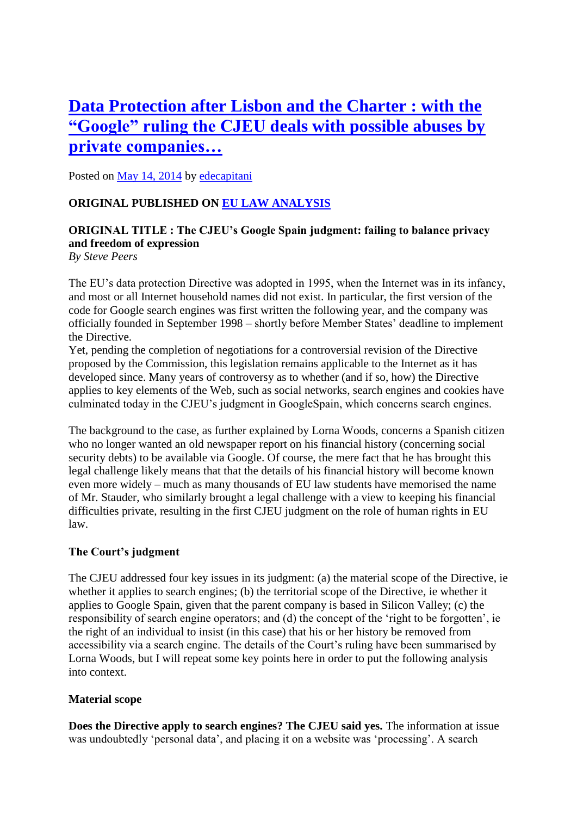# **[Data Protection after Lisbon and the Charter : with the](http://free-group.eu/2014/05/14/data-protection-after-lisbon-and-the-charter-with-the-google-ruling-the-cjeu-deals-with-possible-abuses-by-private-companies/)  ["Google" ruling the CJEU deals with possible abuses by](http://free-group.eu/2014/05/14/data-protection-after-lisbon-and-the-charter-with-the-google-ruling-the-cjeu-deals-with-possible-abuses-by-private-companies/)  [private companies…](http://free-group.eu/2014/05/14/data-protection-after-lisbon-and-the-charter-with-the-google-ruling-the-cjeu-deals-with-possible-abuses-by-private-companies/)**

Posted on [May 14, 2014](http://free-group.eu/2014/05/14/data-protection-after-lisbon-and-the-charter-with-the-google-ruling-the-cjeu-deals-with-possible-abuses-by-private-companies/) by [edecapitani](http://free-group.eu/author/edecapitani/)

# **ORIGINAL PUBLISHED ON [EU LAW ANALYSIS](http://eulawanalysis.blogspot.co.uk/2014/05/the-cjeus-google-spain-judgment-failing.html)**

# **ORIGINAL TITLE : The CJEU's Google Spain judgment: failing to balance privacy and freedom of expression**

*By Steve Peers*

The EU's data protection Directive was adopted in 1995, when the Internet was in its infancy, and most or all Internet household names did not exist. In particular, the first version of the code for Google search engines was first written the following year, and the company was officially founded in September 1998 – shortly before Member States' deadline to implement the Directive.

Yet, pending the completion of negotiations for a controversial revision of the Directive proposed by the Commission, this legislation remains applicable to the Internet as it has developed since. Many years of controversy as to whether (and if so, how) the Directive applies to key elements of the Web, such as social networks, search engines and cookies have culminated today in the CJEU's judgment in GoogleSpain, which concerns search engines.

The background to the case, as further explained by Lorna Woods, concerns a Spanish citizen who no longer wanted an old newspaper report on his financial history (concerning social security debts) to be available via Google. Of course, the mere fact that he has brought this legal challenge likely means that that the details of his financial history will become known even more widely – much as many thousands of EU law students have memorised the name of Mr. Stauder, who similarly brought a legal challenge with a view to keeping his financial difficulties private, resulting in the first CJEU judgment on the role of human rights in EU law.

## **The Court's judgment**

The CJEU addressed four key issues in its judgment: (a) the material scope of the Directive, ie whether it applies to search engines; (b) the territorial scope of the Directive, ie whether it applies to Google Spain, given that the parent company is based in Silicon Valley; (c) the responsibility of search engine operators; and (d) the concept of the 'right to be forgotten', ie the right of an individual to insist (in this case) that his or her history be removed from accessibility via a search engine. The details of the Court's ruling have been summarised by Lorna Woods, but I will repeat some key points here in order to put the following analysis into context.

## **Material scope**

**Does the Directive apply to search engines? The CJEU said yes.** The information at issue was undoubtedly 'personal data', and placing it on a website was 'processing'. A search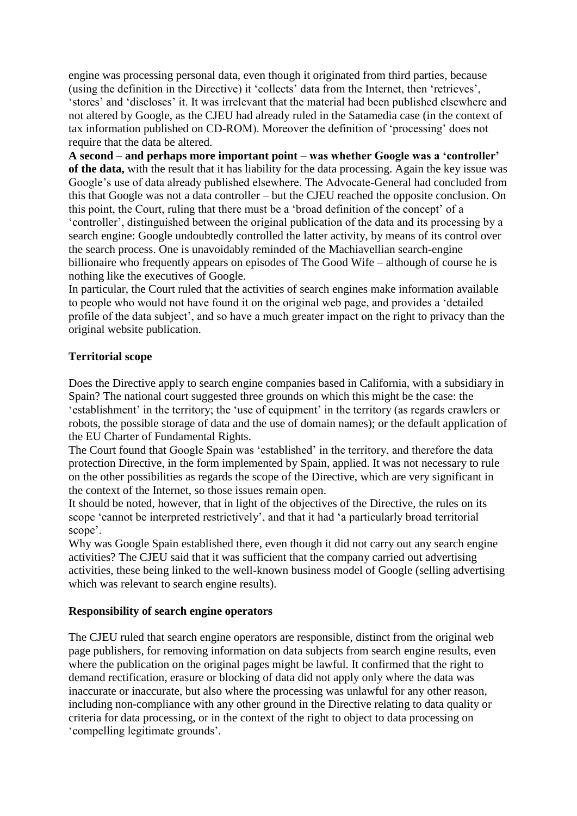engine was processing personal data, even though it originated from third parties, because (using the definition in the Directive) it 'collects' data from the Internet, then 'retrieves', 'stores' and 'discloses' it. It was irrelevant that the material had been published elsewhere and not altered by Google, as the CJEU had already ruled in the Satamedia case (in the context of tax information published on CD-ROM). Moreover the definition of 'processing' does not require that the data be altered.

**A second – and perhaps more important point – was whether Google was a 'controller' of the data,** with the result that it has liability for the data processing. Again the key issue was Google's use of data already published elsewhere. The Advocate-General had concluded from this that Google was not a data controller – but the CJEU reached the opposite conclusion. On this point, the Court, ruling that there must be a 'broad definition of the concept' of a 'controller', distinguished between the original publication of the data and its processing by a search engine: Google undoubtedly controlled the latter activity, by means of its control over the search process. One is unavoidably reminded of the Machiavellian search-engine billionaire who frequently appears on episodes of The Good Wife – although of course he is nothing like the executives of Google.

In particular, the Court ruled that the activities of search engines make information available to people who would not have found it on the original web page, and provides a 'detailed profile of the data subject', and so have a much greater impact on the right to privacy than the original website publication.

#### **Territorial scope**

Does the Directive apply to search engine companies based in California, with a subsidiary in Spain? The national court suggested three grounds on which this might be the case: the 'establishment' in the territory; the 'use of equipment' in the territory (as regards crawlers or robots, the possible storage of data and the use of domain names); or the default application of the EU Charter of Fundamental Rights.

The Court found that Google Spain was 'established' in the territory, and therefore the data protection Directive, in the form implemented by Spain, applied. It was not necessary to rule on the other possibilities as regards the scope of the Directive, which are very significant in the context of the Internet, so those issues remain open.

It should be noted, however, that in light of the objectives of the Directive, the rules on its scope 'cannot be interpreted restrictively', and that it had 'a particularly broad territorial scope'.

Why was Google Spain established there, even though it did not carry out any search engine activities? The CJEU said that it was sufficient that the company carried out advertising activities, these being linked to the well-known business model of Google (selling advertising which was relevant to search engine results).

#### **Responsibility of search engine operators**

The CJEU ruled that search engine operators are responsible, distinct from the original web page publishers, for removing information on data subjects from search engine results, even where the publication on the original pages might be lawful. It confirmed that the right to demand rectification, erasure or blocking of data did not apply only where the data was inaccurate or inaccurate, but also where the processing was unlawful for any other reason, including non-compliance with any other ground in the Directive relating to data quality or criteria for data processing, or in the context of the right to object to data processing on 'compelling legitimate grounds'.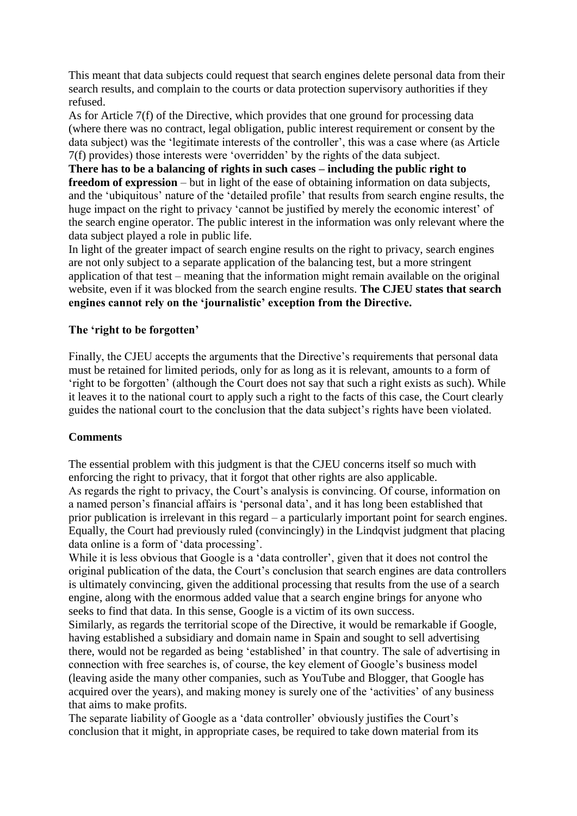This meant that data subjects could request that search engines delete personal data from their search results, and complain to the courts or data protection supervisory authorities if they refused.

As for Article 7(f) of the Directive, which provides that one ground for processing data (where there was no contract, legal obligation, public interest requirement or consent by the data subject) was the 'legitimate interests of the controller', this was a case where (as Article 7(f) provides) those interests were 'overridden' by the rights of the data subject.

**There has to be a balancing of rights in such cases – including the public right to freedom of expression** – but in light of the ease of obtaining information on data subjects, and the 'ubiquitous' nature of the 'detailed profile' that results from search engine results, the huge impact on the right to privacy 'cannot be justified by merely the economic interest' of the search engine operator. The public interest in the information was only relevant where the data subject played a role in public life.

In light of the greater impact of search engine results on the right to privacy, search engines are not only subject to a separate application of the balancing test, but a more stringent application of that test – meaning that the information might remain available on the original website, even if it was blocked from the search engine results. **The CJEU states that search engines cannot rely on the 'journalistic' exception from the Directive.**

#### **The 'right to be forgotten'**

Finally, the CJEU accepts the arguments that the Directive's requirements that personal data must be retained for limited periods, only for as long as it is relevant, amounts to a form of 'right to be forgotten' (although the Court does not say that such a right exists as such). While it leaves it to the national court to apply such a right to the facts of this case, the Court clearly guides the national court to the conclusion that the data subject's rights have been violated.

#### **Comments**

The essential problem with this judgment is that the CJEU concerns itself so much with enforcing the right to privacy, that it forgot that other rights are also applicable. As regards the right to privacy, the Court's analysis is convincing. Of course, information on a named person's financial affairs is 'personal data', and it has long been established that prior publication is irrelevant in this regard – a particularly important point for search engines. Equally, the Court had previously ruled (convincingly) in the Lindqvist judgment that placing data online is a form of 'data processing'.

While it is less obvious that Google is a 'data controller', given that it does not control the original publication of the data, the Court's conclusion that search engines are data controllers is ultimately convincing, given the additional processing that results from the use of a search engine, along with the enormous added value that a search engine brings for anyone who seeks to find that data. In this sense, Google is a victim of its own success.

Similarly, as regards the territorial scope of the Directive, it would be remarkable if Google, having established a subsidiary and domain name in Spain and sought to sell advertising there, would not be regarded as being 'established' in that country. The sale of advertising in connection with free searches is, of course, the key element of Google's business model (leaving aside the many other companies, such as YouTube and Blogger, that Google has acquired over the years), and making money is surely one of the 'activities' of any business that aims to make profits.

The separate liability of Google as a 'data controller' obviously justifies the Court's conclusion that it might, in appropriate cases, be required to take down material from its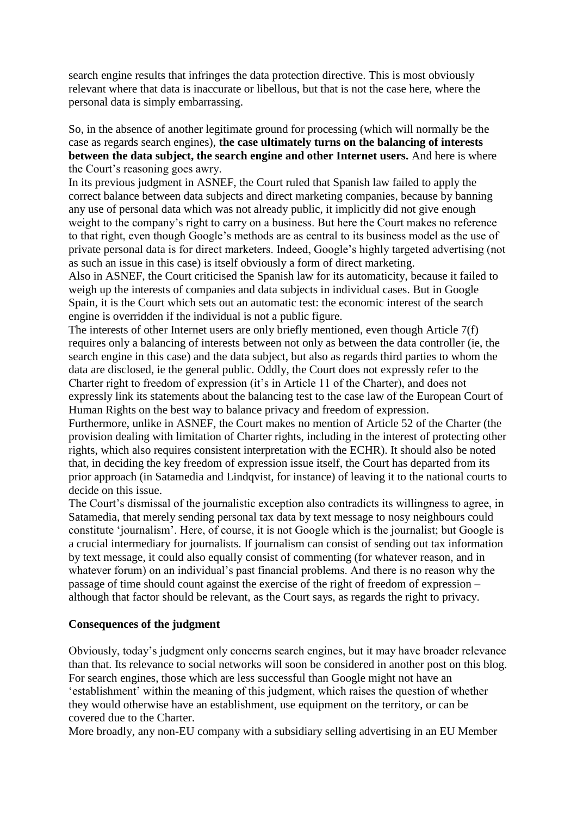search engine results that infringes the data protection directive. This is most obviously relevant where that data is inaccurate or libellous, but that is not the case here, where the personal data is simply embarrassing.

So, in the absence of another legitimate ground for processing (which will normally be the case as regards search engines), **the case ultimately turns on the balancing of interests between the data subject, the search engine and other Internet users.** And here is where the Court's reasoning goes awry.

In its previous judgment in ASNEF, the Court ruled that Spanish law failed to apply the correct balance between data subjects and direct marketing companies, because by banning any use of personal data which was not already public, it implicitly did not give enough weight to the company's right to carry on a business. But here the Court makes no reference to that right, even though Google's methods are as central to its business model as the use of private personal data is for direct marketers. Indeed, Google's highly targeted advertising (not as such an issue in this case) is itself obviously a form of direct marketing.

Also in ASNEF, the Court criticised the Spanish law for its automaticity, because it failed to weigh up the interests of companies and data subjects in individual cases. But in Google Spain, it is the Court which sets out an automatic test: the economic interest of the search engine is overridden if the individual is not a public figure.

The interests of other Internet users are only briefly mentioned, even though Article 7(f) requires only a balancing of interests between not only as between the data controller (ie, the search engine in this case) and the data subject, but also as regards third parties to whom the data are disclosed, ie the general public. Oddly, the Court does not expressly refer to the Charter right to freedom of expression (it's in Article 11 of the Charter), and does not expressly link its statements about the balancing test to the case law of the European Court of Human Rights on the best way to balance privacy and freedom of expression.

Furthermore, unlike in ASNEF, the Court makes no mention of Article 52 of the Charter (the provision dealing with limitation of Charter rights, including in the interest of protecting other rights, which also requires consistent interpretation with the ECHR). It should also be noted that, in deciding the key freedom of expression issue itself, the Court has departed from its prior approach (in Satamedia and Lindqvist, for instance) of leaving it to the national courts to decide on this issue.

The Court's dismissal of the journalistic exception also contradicts its willingness to agree, in Satamedia, that merely sending personal tax data by text message to nosy neighbours could constitute 'journalism'. Here, of course, it is not Google which is the journalist; but Google is a crucial intermediary for journalists. If journalism can consist of sending out tax information by text message, it could also equally consist of commenting (for whatever reason, and in whatever forum) on an individual's past financial problems. And there is no reason why the passage of time should count against the exercise of the right of freedom of expression – although that factor should be relevant, as the Court says, as regards the right to privacy.

## **Consequences of the judgment**

Obviously, today's judgment only concerns search engines, but it may have broader relevance than that. Its relevance to social networks will soon be considered in another post on this blog. For search engines, those which are less successful than Google might not have an 'establishment' within the meaning of this judgment, which raises the question of whether they would otherwise have an establishment, use equipment on the territory, or can be covered due to the Charter.

More broadly, any non-EU company with a subsidiary selling advertising in an EU Member